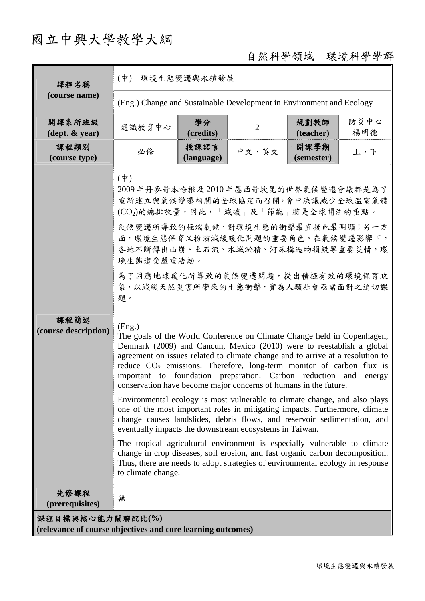## 國立中興大學教學大綱

## 自然科學領域-環境科學學群

| 課程名稱<br>(course name)                                                           | $(\dot{\Psi})$<br>環境生態變遷與永續發展                                                                                                                                                                                                                                                                                                                                                                                                                                  |                    |                |                    |             |  |  |
|---------------------------------------------------------------------------------|----------------------------------------------------------------------------------------------------------------------------------------------------------------------------------------------------------------------------------------------------------------------------------------------------------------------------------------------------------------------------------------------------------------------------------------------------------------|--------------------|----------------|--------------------|-------------|--|--|
|                                                                                 | (Eng.) Change and Sustainable Development in Environment and Ecology                                                                                                                                                                                                                                                                                                                                                                                           |                    |                |                    |             |  |  |
| 開課系所班級<br>$(\text{dept.} \& \text{ year})$                                      | 通識教育中心                                                                                                                                                                                                                                                                                                                                                                                                                                                         | 學分<br>(credits)    | $\overline{2}$ | 規劃教師<br>(teacher)  | 防災中心<br>楊明德 |  |  |
| 課程類別<br>(course type)                                                           | 必修                                                                                                                                                                                                                                                                                                                                                                                                                                                             | 授課語言<br>(language) | 中文、英文          | 開課學期<br>(semester) | 上、下         |  |  |
|                                                                                 | $(\dot{\Psi})$<br>2009年丹麥哥本哈根及2010年墨西哥坎昆的世界氣候變遷會議都是為了<br>重新建立與氣候變遷相關的全球協定而召開,會中決議減少全球溫室氣體<br>(CO <sub>2</sub> )的總排放量,因此,「減碳」及「節能」將是全球關注的重點。<br>氣候變遷所導致的極端氣候,對環境生態的衝擊最直接也最明顯;另一方<br>面,環境生態保育又扮演減緩暖化問題的重要角色。在氣候變遷影響下,<br>各地不斷傳出山崩、土石流、水域淤積、河床構造物損毀等重要災情,環<br>境生態遭受嚴重浩劫。<br>為了因應地球暖化所導致的氣候變遷問題,提出積極有效的環境保育政<br>策,以減緩天然災害所帶來的生態衝擊,實為人類社會亟需面對之迫切課<br>題。                                                                                                             |                    |                |                    |             |  |  |
| 課程簡述<br>(course description)                                                    | (Eng.)<br>The goals of the World Conference on Climate Change held in Copenhagen,<br>Denmark (2009) and Cancun, Mexico (2010) were to reestablish a global<br>agreement on issues related to climate change and to arrive at a resolution to<br>reduce $CO2$ emissions. Therefore, long-term monitor of carbon flux is<br>important to foundation preparation. Carbon reduction and energy<br>conservation have become major concerns of humans in the future. |                    |                |                    |             |  |  |
|                                                                                 | Environmental ecology is most vulnerable to climate change, and also plays<br>one of the most important roles in mitigating impacts. Furthermore, climate<br>change causes landslides, debris flows, and reservoir sedimentation, and<br>eventually impacts the downstream ecosystems in Taiwan.                                                                                                                                                               |                    |                |                    |             |  |  |
|                                                                                 | The tropical agricultural environment is especially vulnerable to climate<br>change in crop diseases, soil erosion, and fast organic carbon decomposition.<br>Thus, there are needs to adopt strategies of environmental ecology in response<br>to climate change.                                                                                                                                                                                             |                    |                |                    |             |  |  |
| 先修課程<br>(prerequisites)                                                         | 無                                                                                                                                                                                                                                                                                                                                                                                                                                                              |                    |                |                    |             |  |  |
| 課程目標與核心能力關聯配比(%)<br>(relevance of course objectives and core learning outcomes) |                                                                                                                                                                                                                                                                                                                                                                                                                                                                |                    |                |                    |             |  |  |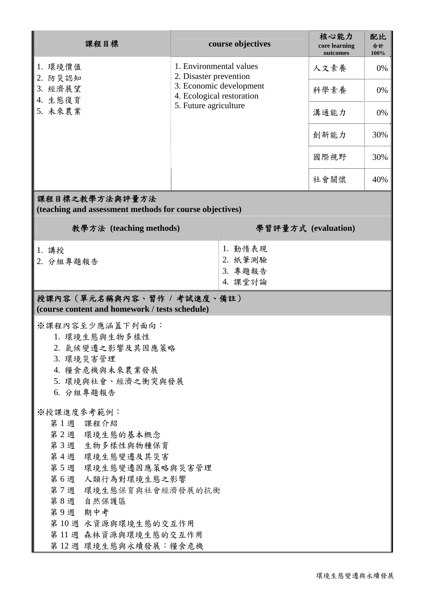| 課程目標                                                                                                                                                                                                                                         | course objectives                                                                                                                  |                                          | 核心能力<br>core learning<br>outcomes | 配比<br>合計<br>100% |  |  |  |  |  |
|----------------------------------------------------------------------------------------------------------------------------------------------------------------------------------------------------------------------------------------------|------------------------------------------------------------------------------------------------------------------------------------|------------------------------------------|-----------------------------------|------------------|--|--|--|--|--|
| 1. 環境價值<br>2. 防災認知                                                                                                                                                                                                                           | 1. Environmental values<br>2. Disaster prevention<br>3. Economic development<br>4. Ecological restoration<br>5. Future agriculture |                                          | 人文素養                              | 0%               |  |  |  |  |  |
| 3. 經濟展望<br>4. 生態復育                                                                                                                                                                                                                           |                                                                                                                                    |                                          | 科學素養                              | 0%               |  |  |  |  |  |
| 5. 未來農業                                                                                                                                                                                                                                      |                                                                                                                                    |                                          | 溝通能力                              | 0%               |  |  |  |  |  |
|                                                                                                                                                                                                                                              |                                                                                                                                    |                                          | 創新能力                              | 30%              |  |  |  |  |  |
|                                                                                                                                                                                                                                              |                                                                                                                                    |                                          | 國際視野                              | 30%              |  |  |  |  |  |
|                                                                                                                                                                                                                                              |                                                                                                                                    |                                          | 社會關懷                              | 40%              |  |  |  |  |  |
| 課程目標之教學方法與評量方法<br>(teaching and assessment methods for course objectives)                                                                                                                                                                    |                                                                                                                                    |                                          |                                   |                  |  |  |  |  |  |
| 教學方法 (teaching methods)                                                                                                                                                                                                                      |                                                                                                                                    | 學習評量方式 (evaluation)                      |                                   |                  |  |  |  |  |  |
| 1. 講授<br>2. 分組專題報告                                                                                                                                                                                                                           |                                                                                                                                    | 1. 勤惰表現<br>2. 紙筆測驗<br>3. 專題報告<br>4. 課堂討論 |                                   |                  |  |  |  |  |  |
| 授課內容(單元名稱與內容、習作 / 考試進度、備註)<br>(course content and homework / tests schedule)                                                                                                                                                                 |                                                                                                                                    |                                          |                                   |                  |  |  |  |  |  |
| ※課程內容至少應涵蓋下列面向:<br>1. 環境生態與生物多樣性<br>2. 氣候變遷之影響及其因應策略<br>3. 環境災害管理<br>4. 糧食危機與未來農業發展<br>5. 環境與社會、經濟之衝突與發展<br>6. 分組專題報告                                                                                                                        |                                                                                                                                    |                                          |                                   |                  |  |  |  |  |  |
| ※授課進度參考範例:<br>第1週 課程介紹<br>第2週 環境生態的基本概念<br>第3週 生物多樣性與物種保育<br>第4週 環境生態變遷及其災害<br>第5週 環境生態變遷因應策略與災害管理<br>第6週 人類行為對環境生態之影響<br>第7週 環境生態保育與社會經濟發展的抗衡<br>第8週 自然保護區<br>第9週 期中考<br>第10週 水資源與環境生態的交互作用<br>第 11 週 森林資源與環境生態的交互作用<br>第12週 環境生態與永續發展:糧食危機 |                                                                                                                                    |                                          |                                   |                  |  |  |  |  |  |